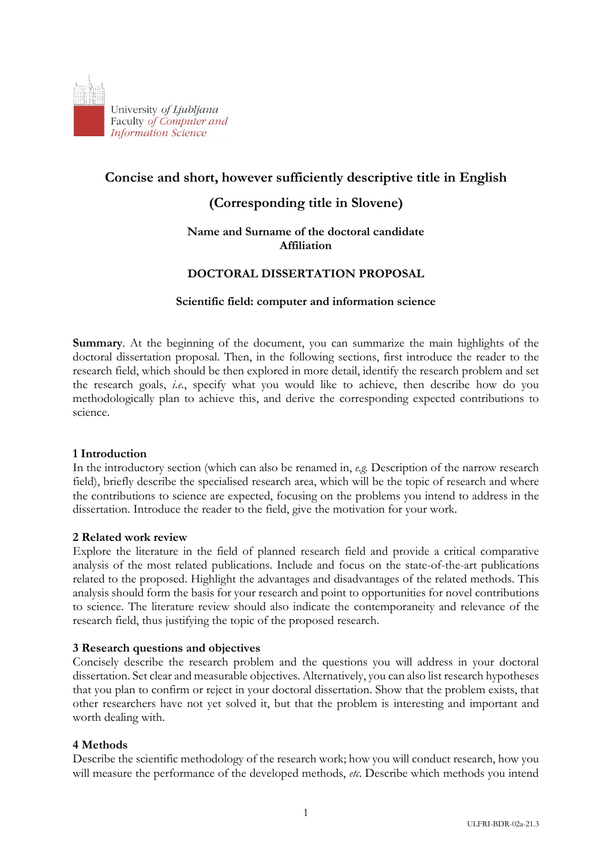

# **Concise and short, however sufficiently descriptive title in English**

## **(Corresponding title in Slovene)**

### **Name and Surname of the doctoral candidate Affiliation**

## **DOCTORAL DISSERTATION PROPOSAL**

### **Scientific field: computer and information science**

**Summary**. At the beginning of the document, you can summarize the main highlights of the doctoral dissertation proposal. Then, in the following sections, first introduce the reader to the research field, which should be then explored in more detail, identify the research problem and set the research goals, *i.e.*, specify what you would like to achieve, then describe how do you methodologically plan to achieve this, and derive the corresponding expected contributions to science.

#### **1 Introduction**

In the introductory section (which can also be renamed in, *e.g.* Description of the narrow research field), briefly describe the specialised research area, which will be the topic of research and where the contributions to science are expected, focusing on the problems you intend to address in the dissertation. Introduce the reader to the field, give the motivation for your work.

#### **2 Related work review**

Explore the literature in the field of planned research field and provide a critical comparative analysis of the most related publications. Include and focus on the state-of-the-art publications related to the proposed. Highlight the advantages and disadvantages of the related methods. This analysis should form the basis for your research and point to opportunities for novel contributions to science. The literature review should also indicate the contemporaneity and relevance of the research field, thus justifying the topic of the proposed research.

#### **3 Research questions and objectives**

Concisely describe the research problem and the questions you will address in your doctoral dissertation. Set clear and measurable objectives. Alternatively, you can also list research hypotheses that you plan to confirm or reject in your doctoral dissertation. Show that the problem exists, that other researchers have not yet solved it, but that the problem is interesting and important and worth dealing with.

### **4 Methods**

Describe the scientific methodology of the research work; how you will conduct research, how you will measure the performance of the developed methods, *etc*. Describe which methods you intend